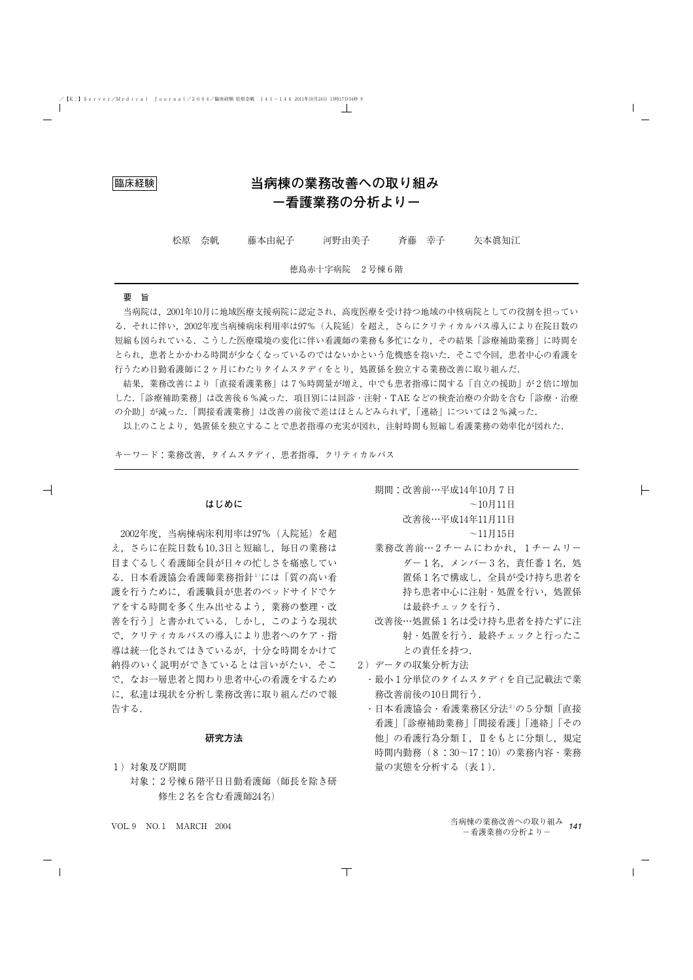# 臨床経験 **当病棟の業務改善への取り組み -看護業務の分析より-**

松原 奈帆 藤本由紀子 河野由美子 斉藤 幸子 矢本眞知江

徳島赤十字病院 2号棟6階

### 要 旨

当病院は,2001年10月に地域医療支援病院に認定され,高度医療を受け持つ地域の中核病院としての役割を担ってい る.それに伴い,2002年度当病棟病床利用率は97%(入院延)を超え,さらにクリティカルパス導入により在院日数の 短縮も図られている.こうした医療環境の変化に伴い看護師の業務も多忙になり,その結果「診療補助業務」に時間を とられ,患者とかかわる時間が少なくなっているのではないかという危機感を抱いた.そこで今回,患者中心の看護を 行うため日勤看護師に2ヶ月にわたりタイムスタディをとり,処置係を独立する業務改善に取り組んだ.

結果,業務改善により「直接看護業務」は7%時間量が増え,中でも患者指導に関する「自立の援助」が2倍に増加 した.「診療補助業務」は改善後6%減った.項目別には回診・注射・TAE などの検査治療の介助を含む「診療・治療 の介助」が減った.「間接看護業務」は改善の前後で差はほとんどみられず,「連絡」については2%減った.

以上のことより,処置係を独立することで患者指導の充実が図れ,注射時間も短縮し看護業務の効率化が図れた.

キーワード:業務改善,タイムスタディ,患者指導,クリティカルパス

#### **はじめに**

2002年度,当病棟病床利用率は97%(入院延)を超 え,さらに在院日数も10.3日と短縮し,毎日の業務は 目まぐるしく看護師全員が日々の忙しさを痛感してい る.日本看護協会看護師業務指針1)には「質の高い看 護を行うために,看護職員が患者のベッドサイドでケ アをする時間を多く生み出せるよう,業務の整理・改 善を行う| と書かれている. しかし、このような現状 で,クリティカルパスの導入により患者へのケア・指 導は統一化されてはきているが,十分な時間をかけて 納得のいく説明ができているとは言いがたい.そこ で,なお一層患者と関わり患者中心の看護をするため に、私達は現状を分析し業務改善に取り組んだので報 告する.

### **研究方法**

- 1)対象及び期間
	- 対象:2号棟6階平日日勤看護師(師長を除き研 修生2名を含む看護師24名)

期間:改善前…平成14年10月7日  $~10$ 月 $~11$ 日 改善後…平成14年11月11日  $~11$ 月 $~15$ 日

- 業務改善前…2チームにわかれ、1チームリー ダー1名,メンバー3名,責任番1名,処 置係1名で構成し,全員が受け持ち患者を 持ち患者中心に注射・処置を行い、処置係 は最終チェックを行う.
- 改善後…処置係1名は受け持ち患者を持たずに注 射・処置を行う.最終チェックと行ったこ との責任を持つ.
- 2)データの収集分析方法
	- ・最小1分単位のタイムスタディを自己記載法で業 務改善前後の10日間行う.
	- ・日本看護協会・看護業務区分法2)の5分類「直接 看護」「診療補助業務」「間接看護」「連絡」「その 他」の看護行為分類Ⅰ,Ⅱをもとに分類し,規定 時間内勤務(8:30~17:10)の業務内容・業務 量の実態を分析する(表1).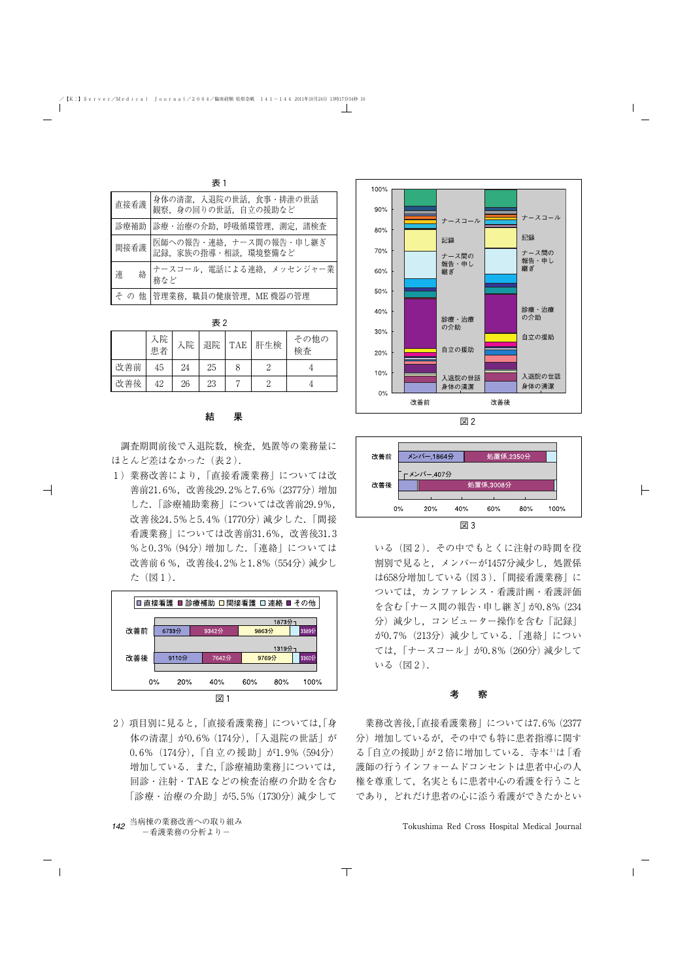| 表 1 |        |                                               |  |  |  |  |  |  |  |
|-----|--------|-----------------------------------------------|--|--|--|--|--|--|--|
|     | 直接看護   | 身体の清潔, 入退院の世話, 食事・排泄の世話<br>観察、身の回りの世話、自立の援助など |  |  |  |  |  |  |  |
|     | 診療補助   | 診療・治療の介助、呼吸循環管理、測定、諸検査                        |  |  |  |  |  |  |  |
|     | 間接看護   | 医師への報告・連絡、ナース間の報告・申し継ぎ<br>記録、家族の指導・相談、環境整備など  |  |  |  |  |  |  |  |
|     | 絡<br>連 | ナースコール, 電話による連絡, メッセンジャー業<br>務など              |  |  |  |  |  |  |  |
|     |        | そ の 他   管理業務, 職員の健康管理, ME 機器の管理               |  |  |  |  |  |  |  |

| 3R Z |          |    |    |            |     |            |  |  |  |
|------|----------|----|----|------------|-----|------------|--|--|--|
|      | 入院<br>患者 | 入院 | 退院 | <b>TAE</b> | 肝生検 | その他の<br>検査 |  |  |  |
| 改善前  | 45       | 24 | 25 |            |     |            |  |  |  |
| 改善後  | 42       | 26 | 23 |            | 2   |            |  |  |  |

#### **結 果**

調査期間前後で入退院数,検査,処置等の業務量に ほとんど差はなかった(表2).

1)業務改善により,「直接看護業務」については改 善前21.6%,改善後29.2%と7.6%(2377分)増加 した.「診療補助業務」については改善前29.9%, 改善後24.5%と5.4%(1770分)減少した.「間接 看護業務」については改善前31.6%,改善後31.3 %と0.3%(94分)増加した.「連絡」については 改善前6%,改善後4.2%と1.8%(554分)減少し た(図1).



2)項目別に見ると,「直接看護業務」については,「身 体の清潔」が0.6%(174分),「入退院の世話」が 0.6%(174分),「自立の援助」が1.9%(594分) 増加している. また,「診療補助業務」については, 回診・注射・TAE などの検査治療の介助を含む 「診療・治療の介助」が5.5%(1730分)減少して







いる(図2).その中でもとくに注射の時間を役 割別で見ると、メンバーが1457分減少し、処置係 は658分増加している(図3).「間接看護業務」に ついては,カンファレンス・看護計画・看護評価 を含む「ナース間の報告・申し継ぎ」が0.8%(234 分)減少し,コンピューター操作を含む「記録」 が0.7%(213分)減少している.「連絡」につい ては,「ナースコール」が0.8%(260分)減少して いる(図2).

#### **考 察**

業務改善後,「直接看護業務」については7.6%(2377 分)増加しているが,その中でも特に患者指導に関す る「自立の援助」が2倍に増加している.寺本3)は「看 護師の行うインフォームドコンセントは患者中心の人 権を尊重して,名実ともに患者中心の看護を行うこと であり,どれだけ患者の心に添う看護ができたかとい

Tokushima Red Cross Hospital Medical Journal

主っ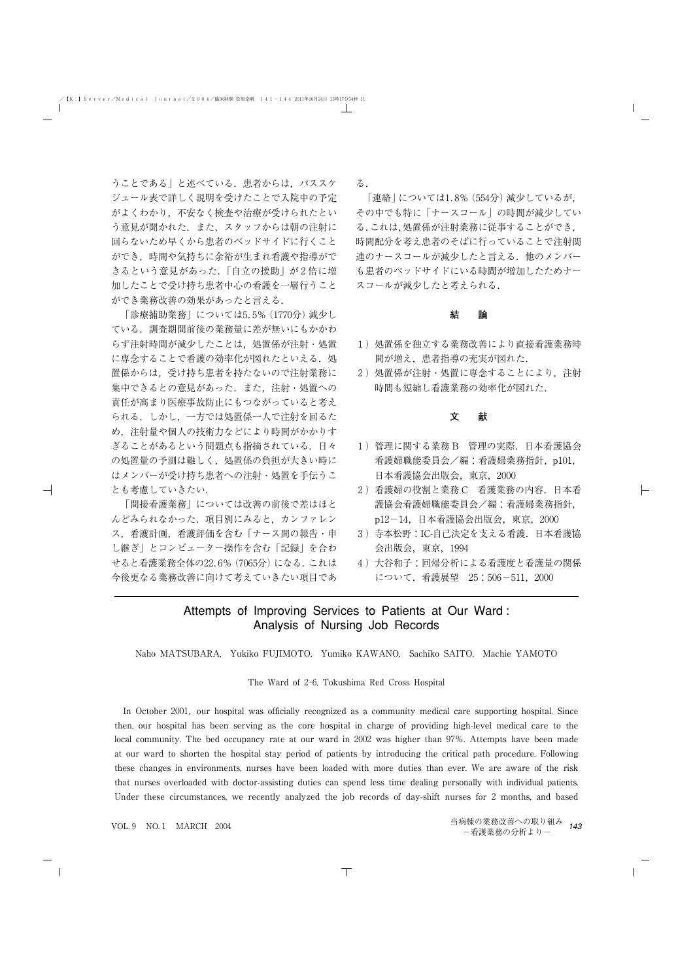うことである」と述べている. 患者からは、パススケ ジュール表で詳しく説明を受けたことで入院中の予定 がよくわかり,不安なく検査や治療が受けられたとい う意見が聞かれた. また、スタッフからは朝の注射に 回らないため早くから患者のベッドサイドに行くこと ができ,時間や気持ちに余裕が生まれ看護や指導がで きるという意見があった.「自立の援助」が2倍に増 加したことで受け持ち患者中心の看護を一層行うこと ができ業務改善の効果があったと言える.

「診療捕助業務」については5.5%(1770分)減少し ている.調査期間前後の業務量に差が無いにもかかわ らず注射時間が減少したことは,処置係が注射・処置 に専念することで看護の効率化が図れたといえる.処 置係からは,受け持ち患者を持たないので注射業務に 集中できるとの意見があった. また、注射・処置への 責任が高まり医療事故防止にもつながっていると考え られる.しかし,一方では処置係一人で注射を回るた め,注射量や個人の技術力などにより時間がかかりす ぎることがあるという問題点も指摘されている.日々 の処置量の予測は難しく、処置係の負担が大きい時に はメンバーが受け持ち患者への注射・処置を手伝うこ とも考慮していきたい.

「間接看護業務」については改善の前後で差はほと んどみられなかった.項目別にみると,カンファレン ス,看護計画,看護評価を含む「ナース間の報告・申 し継ぎ」とコンピューター操作を含む「記録」を合わ せると看護業務全体の22.6%(7065分)になる.これは 今後更なる業務改善に向けて考えていきたい項目であ る.

「連絡」については1.8%(554分)減少しているが, その中でも特に「ナースコール」の時間が減少してい る.これは,処置係が注射業務に従事することができ, 時間配分を考え患者のそばに行っていることで注射関 連のナースコールが減少したと言える.他のメンバー も患者のベッドサイドにいる時間が増加したためナー スコールが減少したと考えられる.

#### **結 論**

- 1)処置係を独立する業務改善により直接看護業務時 間が増え,患者指導の充実が図れた.
- 2)処置係が注射・処置に専念することにより,注射 時間も短縮し看護業務の効率化が図れた.

#### **文 献**

- 1)管理に関する業務 B 管理の実際.日本看護協会 看護婦職能委員会/編:看護婦業務指針,p101, 日本看護協会出版会,東京,2000
- 2)看護婦の役割と業務 C 看護業務の内容.日本看 護協会看護婦職能委員会/編:看護婦業務指針, p12-14,日本看護協会出版会,東京,2000
- 3)寺本松野:IC-自己決定を支える看護.日本看護協 会出版会,東京,1994
- 4)大谷和子:回帰分析による看護度と看護量の関係 について.看護展望 25:506-511,2000

## Attempts of Improving Services to Patients at Our Ward : Analysis of Nursing Job Records

Naho MATSUBARA, Yukiko FUJIMOTO, Yumiko KAWANO, Sachiko SAITO, Machie YAMOTO

The Ward of 2‐6, Tokushima Red Cross Hospital

In October 2001, our hospital was officially recognized as a community medical care supporting hospital. Since then, our hospital has been serving as the core hospital in charge of providing high-level medical care to the local community. The bed occupancy rate at our ward in 2002 was higher than 97%. Attempts have been made at our ward to shorten the hospital stay period of patients by introducing the critical path procedure. Following these changes in environments, nurses have been loaded with more duties than ever. We are aware of the risk that nurses overloaded with doctor-assisting duties can spend less time dealing personally with individual patients. Under these circumstances, we recently analyzed the job records of day-shift nurses for 2 months, and based